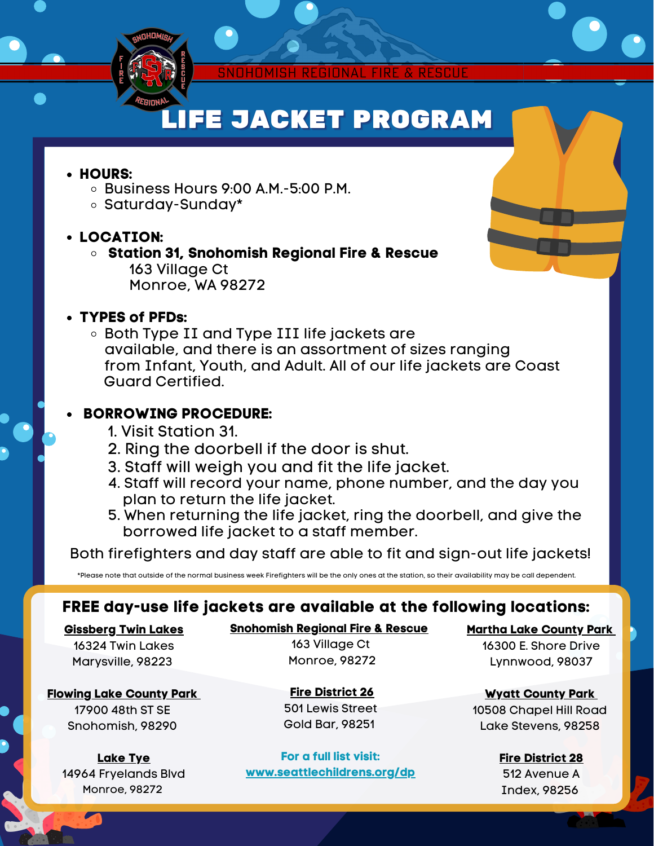

# **LIFE JACKET PROGRAM**

#### **HOURS:**

- $\circ$  Business Hours 9:00 A.M.-5:00 P.M.
- o Saturday-Sunday\*

#### **LOCATION:**

**Station 31, Snohomish Regional Fire & Rescue** 163 Village Ct Monroe, WA 98272

#### **TYPES of PFDs:**

Both Type II and Type III life jackets are available, and there is an assortment of sizes ranging from Infant, Youth, and Adult. All of our life jackets are Coast Guard Certified.

#### **BORROWING PROCEDURE:**

- 1. Visit Station 31.
- 2. Ring the doorbell if the door is shut.
- 3. Staff will weigh you and fit the life jacket.
- 4. Staff will record your name, phone number, and the day you plan to return the life jacket.
- 5. When returning the life jacket, ring the doorbell, and give the borrowed life jacket to a staff member.

Both firefighters and day staff are able to fit and sign-out life jackets!

\*Please note that outside of the normal business week Firefighters will be the only ones at the station, so their availability may be call dependent.

### **FREE day-use life jackets are available at the following locations:**

#### **Gissberg Twin Lakes**

16324 Twin Lakes Marysville, 98223

#### **Flowing Lake County Park**

17900 48th ST SE Snohomish, 98290

**Lake Tye** 14964 Fryelands Blvd Monroe, 98272

**Snohomish Regional Fire & Rescue** 163 Village Ct Monroe, 98272

> **Fire District 26** 501 Lewis Street Gold Bar, 98251

**For a full list visit: [www.seattlechildrens.org/dp](http://www.seattlechildrens.org/dp)** **Martha Lake County Park**

16300 E. Shore Drive Lynnwood, 98037

**Wyatt County Park** 10508 Chapel Hill Road Lake Stevens, 98258

> **Fire District 28** 512 Avenue A Index, 98256